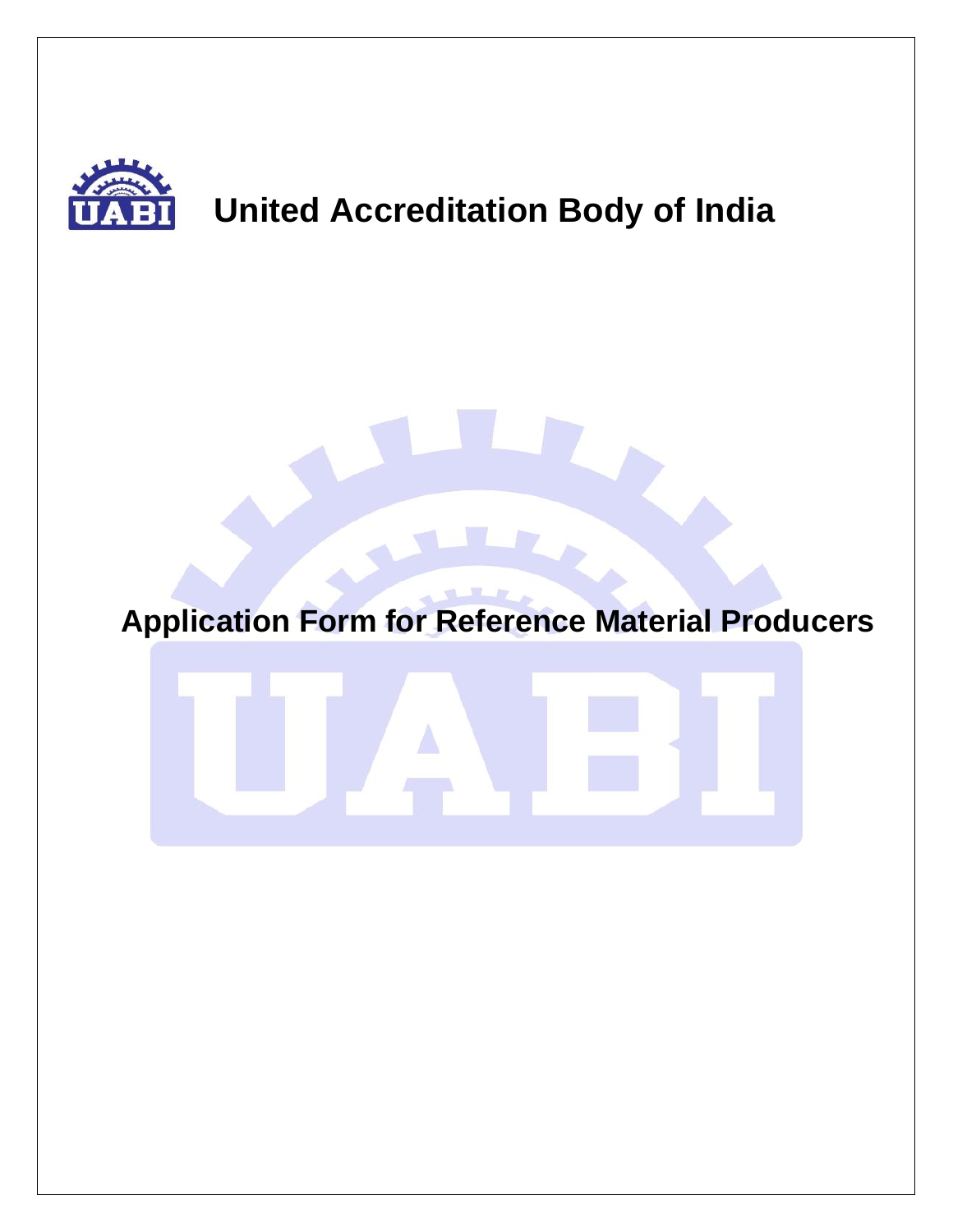

# **United Accreditation Body of India**

# **Application Form for Reference Material Producers**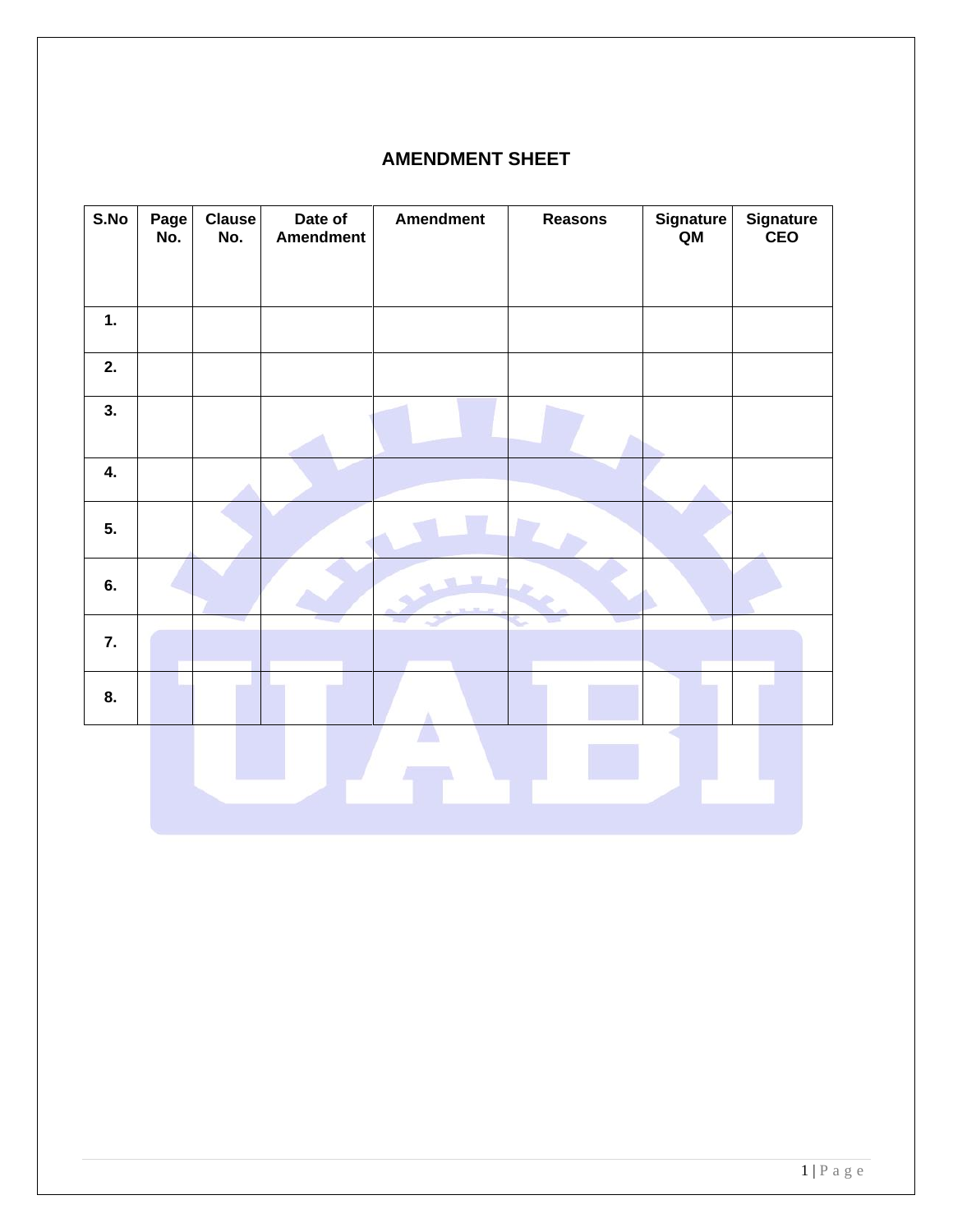#### **AMENDMENT SHEET**

| S.No | Page<br>No. | <b>Clause</b><br>No. | Date of<br><b>Amendment</b> | <b>Amendment</b> | <b>Reasons</b> | Signature<br>QM | Signature<br>CEO |
|------|-------------|----------------------|-----------------------------|------------------|----------------|-----------------|------------------|
|      |             |                      |                             |                  |                |                 |                  |
| 1.   |             |                      |                             |                  |                |                 |                  |
| 2.   |             |                      |                             |                  |                |                 |                  |
| 3.   |             |                      |                             |                  |                |                 |                  |
| 4.   |             |                      |                             |                  |                |                 |                  |
| 5.   |             |                      |                             |                  |                |                 |                  |
| 6.   |             |                      |                             |                  |                |                 |                  |
| 7.   |             |                      |                             |                  |                |                 |                  |
| 8.   |             |                      |                             |                  |                |                 |                  |
|      |             |                      |                             |                  |                |                 |                  |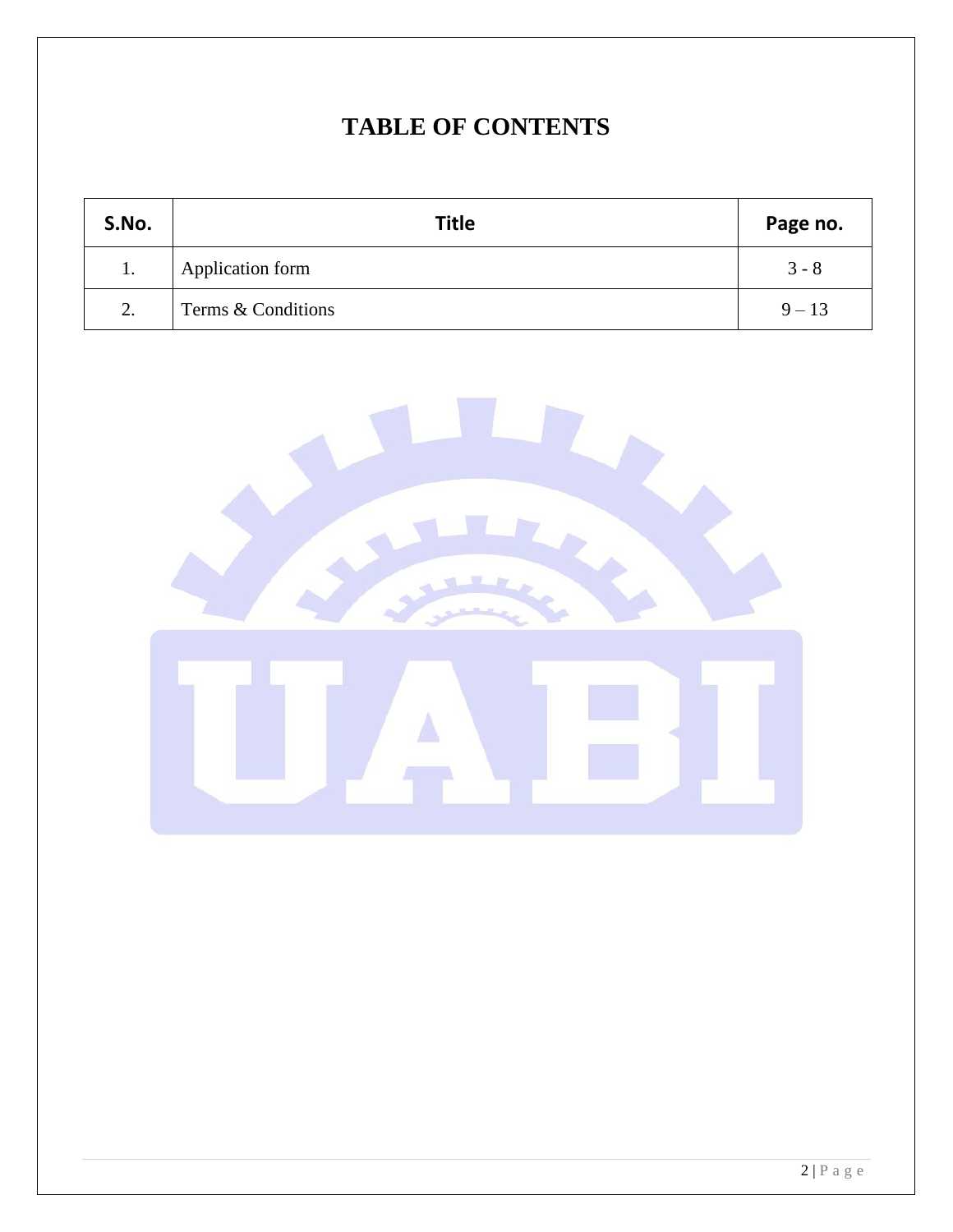## **TABLE OF CONTENTS**

| S.No. | <b>Title</b>       | Page no. |
|-------|--------------------|----------|
| 1.    | Application form   | $3 - 8$  |
| 2.    | Terms & Conditions | $9 - 13$ |

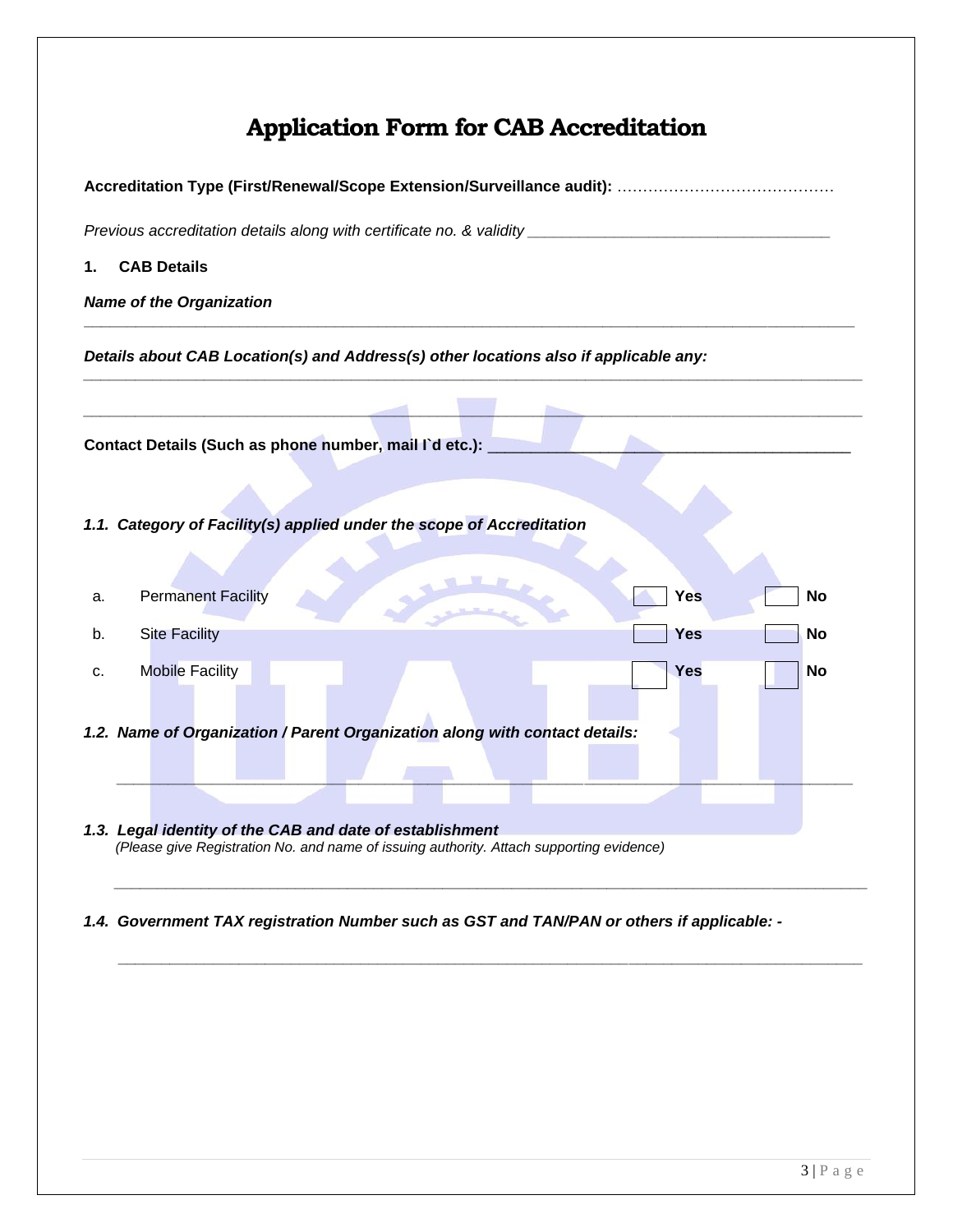## **Application Form for CAB Accreditation**

| Previous accreditation details along with certificate no. & validity ___________________                                                             |  |  |  |  |  |
|------------------------------------------------------------------------------------------------------------------------------------------------------|--|--|--|--|--|
| <b>CAB Details</b><br>1.                                                                                                                             |  |  |  |  |  |
| <b>Name of the Organization</b>                                                                                                                      |  |  |  |  |  |
| Details about CAB Location(s) and Address(s) other locations also if applicable any:                                                                 |  |  |  |  |  |
| Contact Details (Such as phone number, mail I'd etc.):                                                                                               |  |  |  |  |  |
| 1.1. Category of Facility(s) applied under the scope of Accreditation                                                                                |  |  |  |  |  |
| <b>Permanent Facility</b><br>Yes<br>No<br>а.                                                                                                         |  |  |  |  |  |
| <b>Site Facility</b><br>Yes<br>No<br>b.                                                                                                              |  |  |  |  |  |
| <b>Mobile Facility</b><br><b>Yes</b><br>No<br>c.                                                                                                     |  |  |  |  |  |
| 1.2. Name of Organization / Parent Organization along with contact details:                                                                          |  |  |  |  |  |
| 1.3. Legal identity of the CAB and date of establishment<br>(Please give Registration No. and name of issuing authority. Attach supporting evidence) |  |  |  |  |  |

#### *1.4. Government TAX registration Number such as GST and TAN/PAN or others if applicable: -*

*\_\_\_\_\_\_\_\_\_\_\_\_\_\_\_\_\_\_\_\_\_\_\_\_\_\_\_\_\_\_\_\_\_\_\_\_\_\_\_\_\_\_\_\_\_\_\_\_\_\_\_\_\_\_\_\_\_\_\_\_\_\_\_\_\_\_\_\_\_\_\_\_\_\_\_\_\_\_\_\_\_\_\_\_\_\_*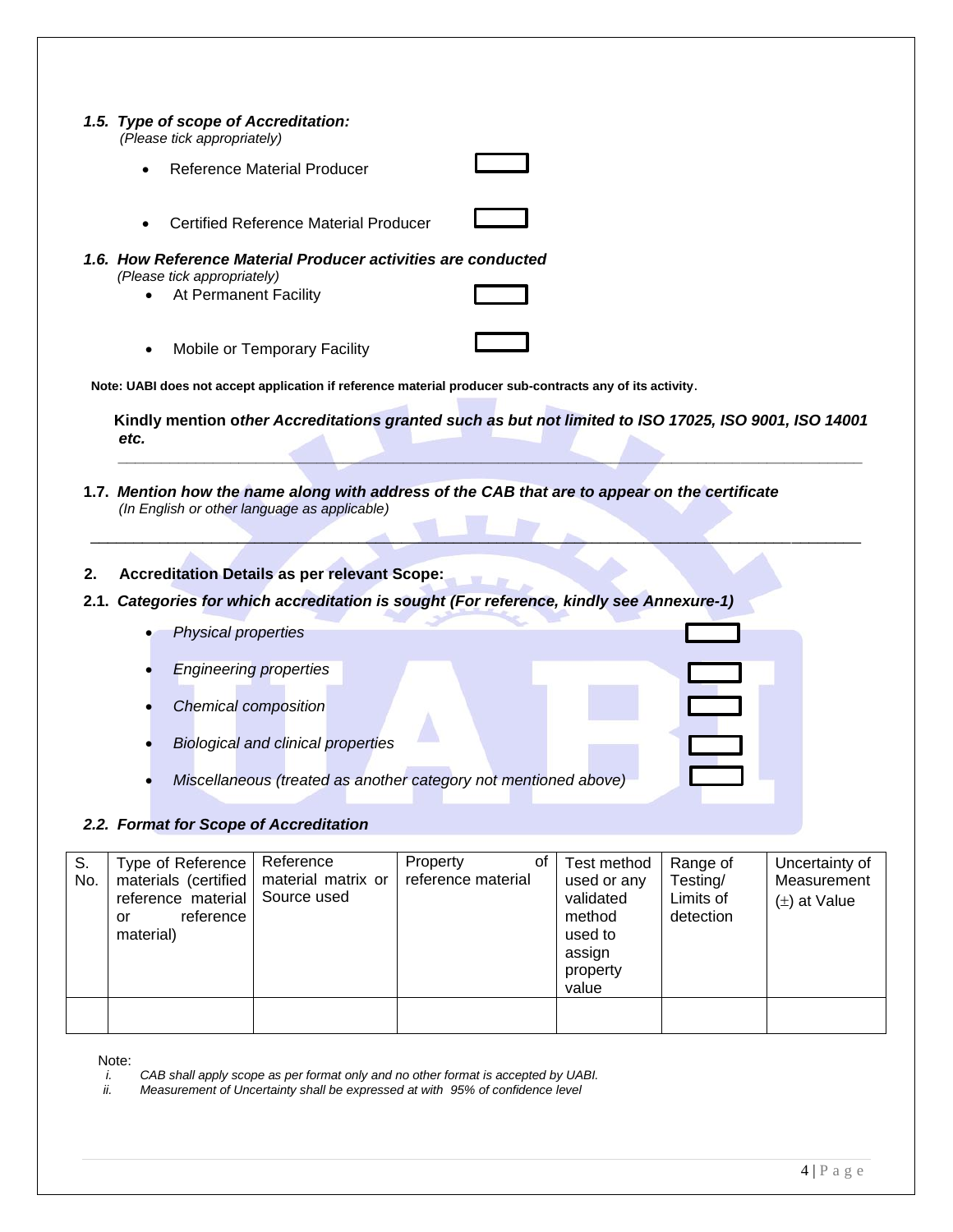|           | 1.5. Type of scope of Accreditation:<br>(Please tick appropriately)                             |                                                                                                     |                                                                                                                                                                                           |                                                                                             |                                                |                                                   |
|-----------|-------------------------------------------------------------------------------------------------|-----------------------------------------------------------------------------------------------------|-------------------------------------------------------------------------------------------------------------------------------------------------------------------------------------------|---------------------------------------------------------------------------------------------|------------------------------------------------|---------------------------------------------------|
|           |                                                                                                 | <b>Reference Material Producer</b>                                                                  |                                                                                                                                                                                           |                                                                                             |                                                |                                                   |
|           |                                                                                                 | <b>Certified Reference Material Producer</b>                                                        |                                                                                                                                                                                           |                                                                                             |                                                |                                                   |
|           | (Please tick appropriately)<br>At Permanent Facility                                            |                                                                                                     | 1.6. How Reference Material Producer activities are conducted                                                                                                                             |                                                                                             |                                                |                                                   |
|           |                                                                                                 | Mobile or Temporary Facility                                                                        |                                                                                                                                                                                           |                                                                                             |                                                |                                                   |
|           |                                                                                                 |                                                                                                     | Note: UABI does not accept application if reference material producer sub-contracts any of its activity.                                                                                  |                                                                                             |                                                |                                                   |
|           | etc.                                                                                            |                                                                                                     | Kindly mention other Accreditations granted such as but not limited to ISO 17025, ISO 9001, ISO 14001                                                                                     |                                                                                             |                                                |                                                   |
| 2.        |                                                                                                 | (In English or other language as applicable)<br><b>Accreditation Details as per relevant Scope:</b> | 1.7. Mention how the name along with address of the CAB that are to appear on the certificate<br>2.1. Categories for which accreditation is sought (For reference, kindly see Annexure-1) |                                                                                             |                                                |                                                   |
|           | <b>Physical properties</b>                                                                      |                                                                                                     |                                                                                                                                                                                           |                                                                                             |                                                |                                                   |
|           |                                                                                                 | <b>Engineering properties</b>                                                                       |                                                                                                                                                                                           |                                                                                             |                                                |                                                   |
|           | <b>Chemical composition</b>                                                                     |                                                                                                     |                                                                                                                                                                                           |                                                                                             |                                                |                                                   |
|           |                                                                                                 | <b>Biological and clinical properties</b>                                                           |                                                                                                                                                                                           |                                                                                             |                                                |                                                   |
|           |                                                                                                 |                                                                                                     | Miscellaneous (treated as another category not mentioned above)                                                                                                                           |                                                                                             |                                                |                                                   |
|           |                                                                                                 |                                                                                                     |                                                                                                                                                                                           |                                                                                             |                                                |                                                   |
|           | 2.2. Format for Scope of Accreditation                                                          |                                                                                                     |                                                                                                                                                                                           |                                                                                             |                                                |                                                   |
| S.<br>No. | Type of Reference<br>materials (certified<br>reference material<br>reference<br>or<br>material) | Reference<br>material matrix or<br>Source used                                                      | Property<br>of<br>reference material                                                                                                                                                      | Test method<br>used or any<br>validated<br>method<br>used to<br>assign<br>property<br>value | Range of<br>Testing/<br>Limits of<br>detection | Uncertainty of<br>Measurement<br>$(\pm)$ at Value |

Note:<br> $\frac{i}{ii}$ .

*i. CAB shall apply scope as per format only and no other format is accepted by UABI.*

*ii. Measurement of Uncertainty shall be expressed at with 95% of confidence level*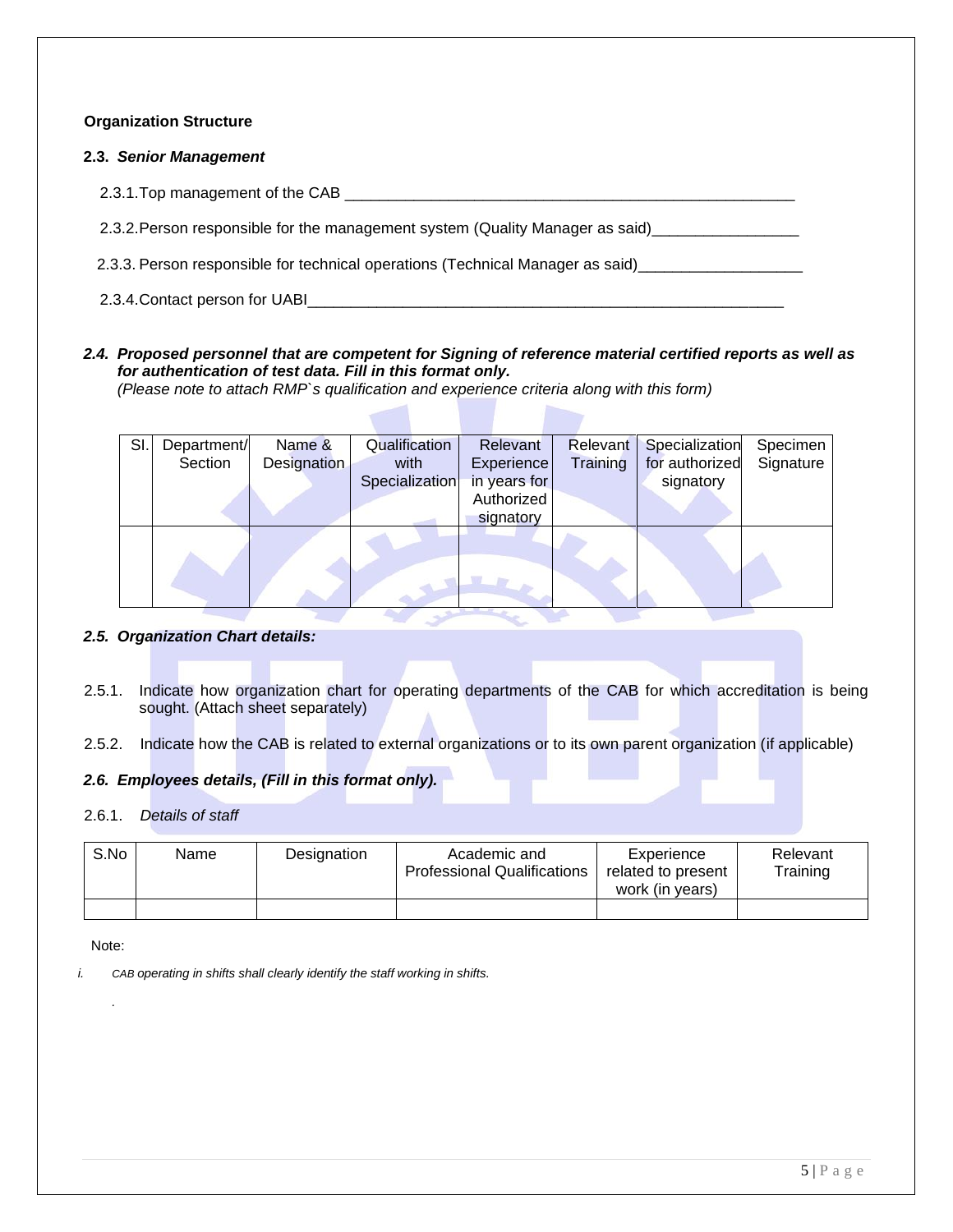#### **Organization Structure**

#### **2.3.** *Senior Management*

2.3.1.Top management of the CAB \_\_\_\_\_\_\_\_\_\_\_\_\_\_\_\_\_\_\_\_\_\_\_\_\_\_\_\_\_\_\_\_\_\_\_\_\_\_\_\_\_\_\_\_\_\_\_\_\_\_\_\_

2.3.2. Person responsible for the management system (Quality Manager as said)\_\_\_\_\_\_\_\_\_\_\_\_\_\_\_\_\_\_\_\_\_\_

2.3.3. Person responsible for technical operations (Technical Manager as said) \_\_\_\_\_\_\_\_\_\_\_\_\_\_\_\_\_\_\_\_\_

2.3.4. Contact person for UABI

#### *2.4. Proposed personnel that are competent for Signing of reference material certified reports as well as for authentication of test data. Fill in this format only.*

*(Please note to attach RMP`s qualification and experience criteria along with this form)*

| SI. | Department/ | Name &             | Qualification  | Relevant          | Relevant | Specialization | Specimen  |
|-----|-------------|--------------------|----------------|-------------------|----------|----------------|-----------|
|     | Section     | <b>Designation</b> | with           | <b>Experience</b> | Training | for authorized | Signature |
|     |             |                    | Specialization | in years for      |          | signatory      |           |
|     |             |                    |                | Authorized        |          |                |           |
|     |             |                    |                | signatory         |          |                |           |
|     |             |                    |                |                   |          |                |           |

#### *2.5. Organization Chart details:*

2.5.1. Indicate how organization chart for operating departments of the CAB for which accreditation is being sought. (Attach sheet separately)

2.5.2. Indicate how the CAB is related to external organizations or to its own parent organization (if applicable)

#### *2.6. Employees details, (Fill in this format only).*

#### 2.6.1. *Details of staff*

| S.No | Name | Designation | Academic and<br><b>Professional Qualifications</b> | Experience<br>related to present<br>work (in years) | Relevant<br>Training |
|------|------|-------------|----------------------------------------------------|-----------------------------------------------------|----------------------|
|      |      |             |                                                    |                                                     |                      |

Note:

*.* 

*i. CAB operating in shifts shall clearly identify the staff working in shifts.*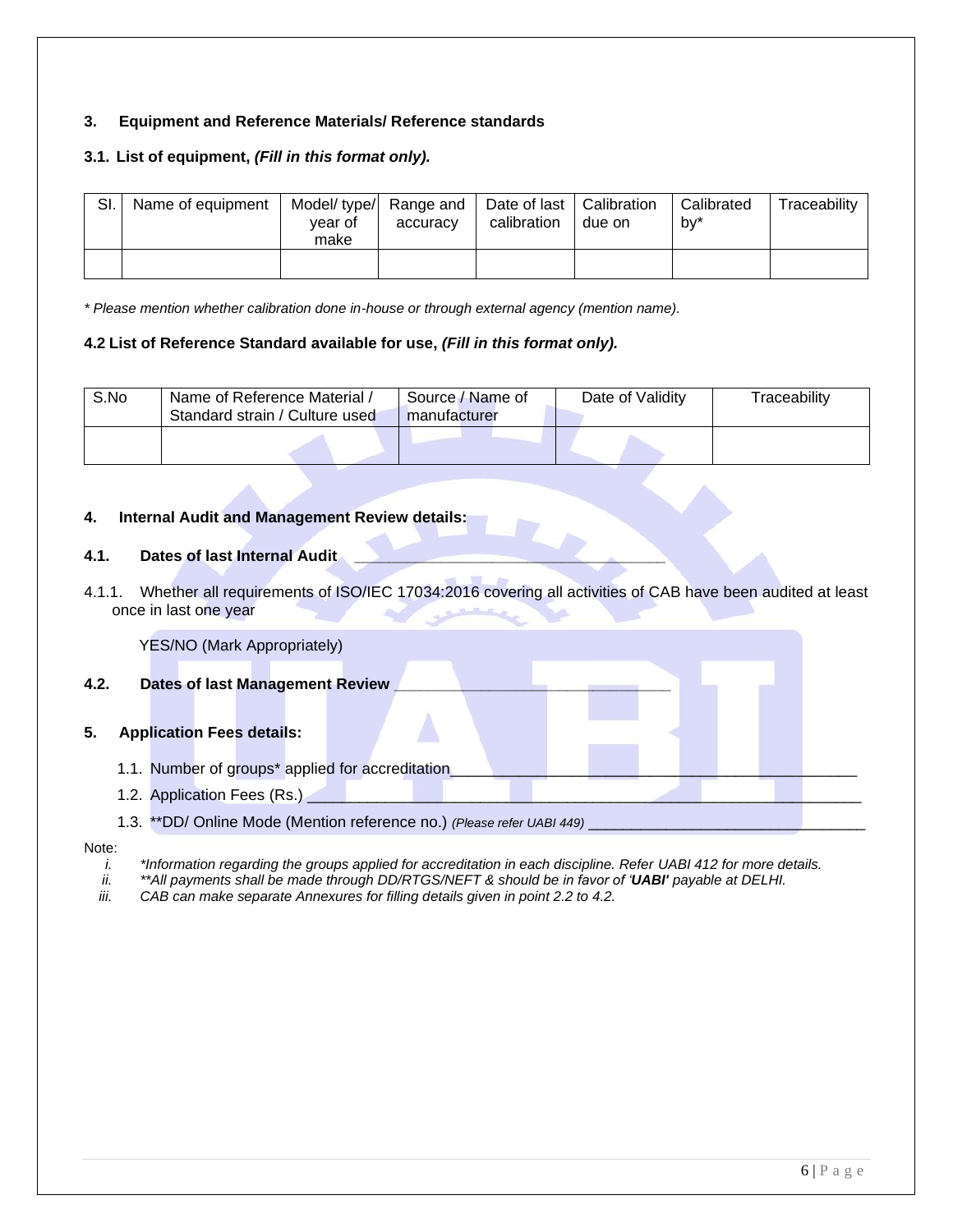#### **3. Equipment and Reference Materials/ Reference standards**

#### **3.1. List of equipment,** *(Fill in this format only).*

| SI. | Name of equipment | vear of<br>make | Model/ type/ Range and<br>accuracy | Date of last   Calibration<br>calibration | due on | Calibrated<br>bv* | Traceability |
|-----|-------------------|-----------------|------------------------------------|-------------------------------------------|--------|-------------------|--------------|
|     |                   |                 |                                    |                                           |        |                   |              |

*\* Please mention whether calibration done in-house or through external agency (mention name).*

#### **4.2 List of Reference Standard available for use,** *(Fill in this format only).*

| S.No | Name of Reference Material /<br>Standard strain / Culture used | Source / Name of<br>manufacturer | Date of Validity | Traceability |
|------|----------------------------------------------------------------|----------------------------------|------------------|--------------|
|      |                                                                |                                  |                  |              |

#### **4. Internal Audit and Management Review details:**

#### **4.1. Dates of last Internal Audit \_\_\_\_\_\_\_\_\_\_\_\_\_\_\_\_\_\_\_\_\_\_\_\_\_\_\_\_\_\_\_\_\_\_\_\_**

4.1.1. Whether all requirements of ISO/IEC 17034:2016 covering all activities of CAB have been audited at least once in last one year

|      |                                  |  | <b>YES/NO (Mark Appropriately)</b> |                                                  |                                                                        |  |  |  |
|------|----------------------------------|--|------------------------------------|--------------------------------------------------|------------------------------------------------------------------------|--|--|--|
| 4.2. |                                  |  |                                    | <b>Dates of last Management Review</b>           |                                                                        |  |  |  |
| 5.   | <b>Application Fees details:</b> |  |                                    |                                                  |                                                                        |  |  |  |
|      |                                  |  |                                    | 1.1. Number of groups* applied for accreditation |                                                                        |  |  |  |
|      | 1.2. Application Fees (Rs.)      |  |                                    |                                                  |                                                                        |  |  |  |
|      |                                  |  |                                    |                                                  | 1.3. **DD/ Online Mode (Mention reference no.) (Please refer UABI 449) |  |  |  |

#### Note:

- *i. \*Information regarding the groups applied for accreditation in each discipline. Refer UABI 412 for more details.*<br>ii. *\*\*All payments shall be made through DD/RTGS/NEFT & should be in favor of 'UABI' payable at DEL*
- *ii. \*\*All payments shall be made through DD/RTGS/NEFT & should be in favor of 'UABI' payable at DELHI.*
- *iii. CAB can make separate Annexures for filling details given in point 2.2 to 4.2.*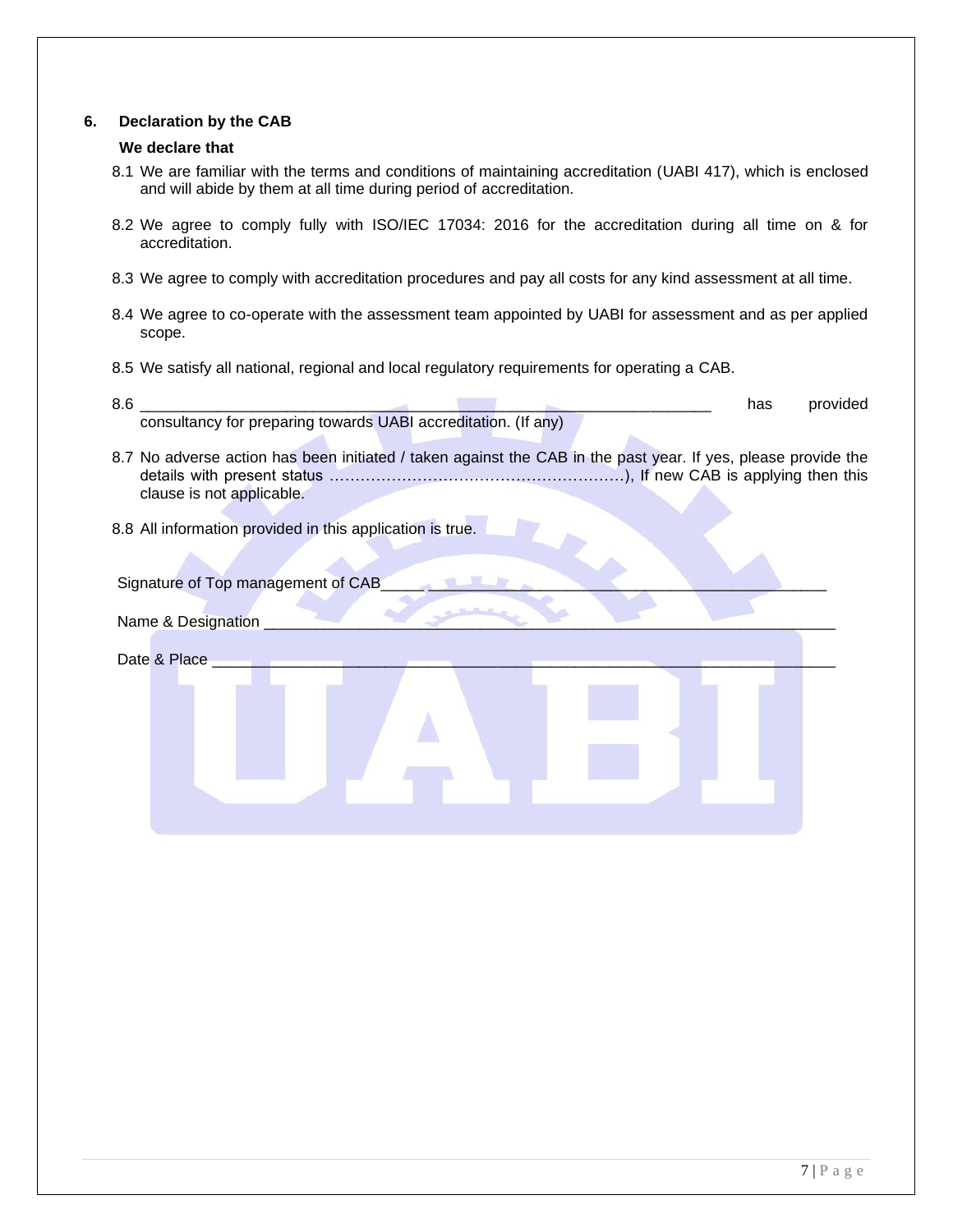#### **6. Declaration by the CAB**

#### **We declare that**

- 8.1 We are familiar with the terms and conditions of maintaining accreditation (UABI 417), which is enclosed and will abide by them at all time during period of accreditation.
- 8.2 We agree to comply fully with ISO/IEC 17034: 2016 for the accreditation during all time on & for accreditation.
- 8.3 We agree to comply with accreditation procedures and pay all costs for any kind assessment at all time.
- 8.4 We agree to co-operate with the assessment team appointed by UABI for assessment and as per applied scope.
- 8.5 We satisfy all national, regional and local regulatory requirements for operating a CAB.

| 8.6                                                                                                                                        | has | provided |
|--------------------------------------------------------------------------------------------------------------------------------------------|-----|----------|
| consultancy for preparing towards UABI accreditation. (If any)                                                                             |     |          |
| 8.7 No adverse action has been initiated / taken against the CAB in the past year. If yes, please provide the<br>clause is not applicable. |     |          |
| 8.8 All information provided in this application is true.                                                                                  |     |          |
| Signature of Top management of CAB                                                                                                         |     |          |
| Name & Designation                                                                                                                         |     |          |
| Date & Place                                                                                                                               |     |          |
|                                                                                                                                            |     |          |
|                                                                                                                                            |     |          |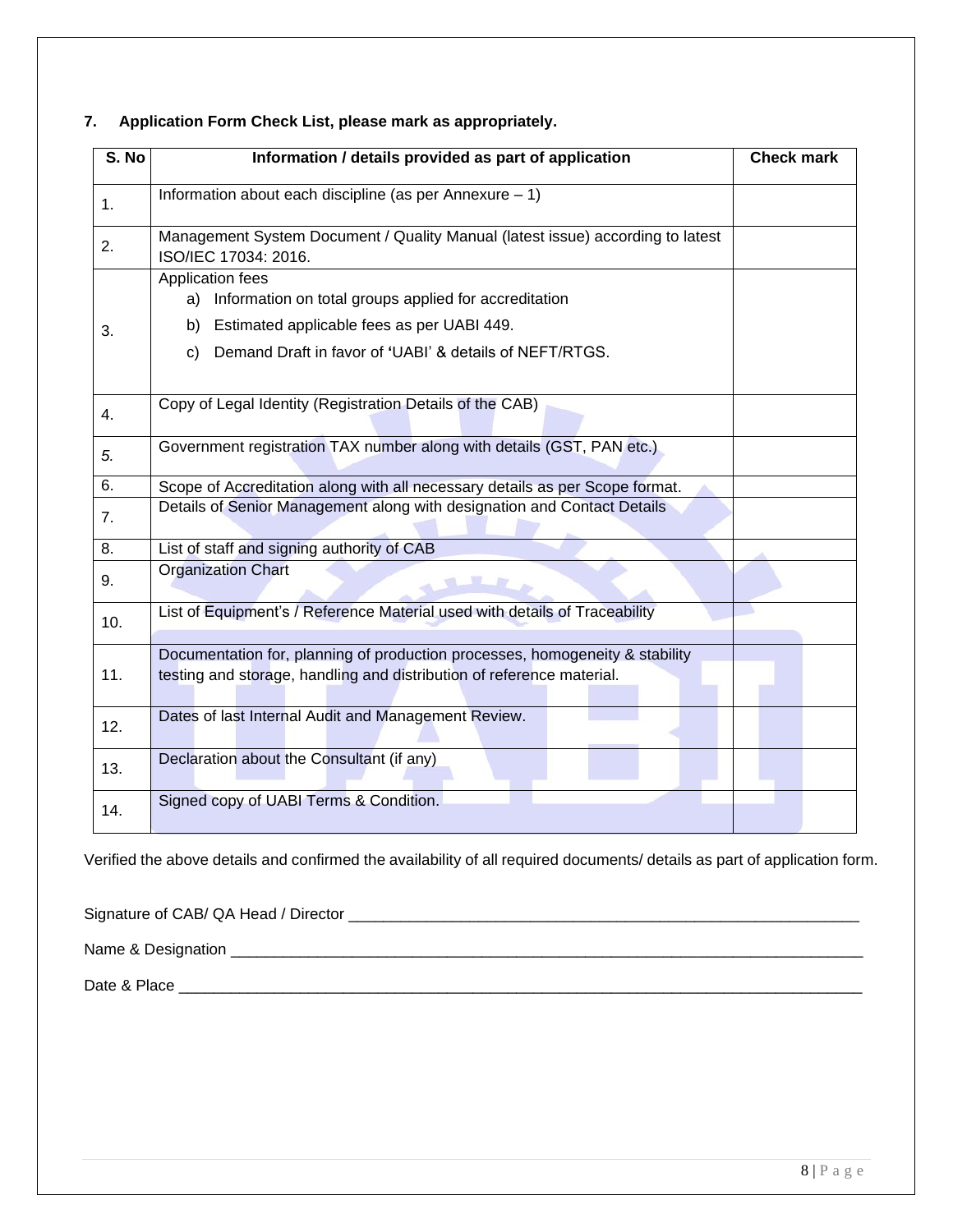### **S. No Information / details provided as part of application Check mark** 1. | Information about each discipline (as per Annexure – 1) 2. Management System Document / Quality Manual (latest issue) according to latest ISO/IEC 17034: 2016. 3. Application fees a) Information on total groups applied for accreditation b) Estimated applicable fees as per UABI 449. c) Demand Draft in favor of **'**UABI' & details of NEFT/RTGS. 4. Copy of Legal Identity (Registration Details of the CAB) *5.* Government registration TAX number along with details (GST, PAN etc.) 6. Scope of Accreditation along with all necessary details as per Scope format. **7.** Petails of Senior Management along with designation and Contact Details 8. **List of staff and signing authority of CAB** 9. **Organization Chart** 10. | List of Equipment's / Reference Material used with details of Traceability 11. Documentation for, planning of production processes, homogeneity & stability testing and storage, handling and distribution of reference material. 12. **Dates of last Internal Audit and Management Review.** 13. Peclaration about the Consultant (if any)

#### **7. Application Form Check List, please mark as appropriately.**

Verified the above details and confirmed the availability of all required documents/ details as part of application form.

Signature of CAB/ QA Head / Director \_\_\_\_\_\_\_\_\_\_\_\_\_\_\_\_\_\_\_\_\_\_\_\_\_\_\_\_\_\_\_\_\_\_\_\_\_\_\_\_\_\_\_\_\_\_\_\_\_\_\_\_\_\_\_\_\_\_\_

14. Signed copy of UABI Terms & Condition.

Name & Designation \_\_\_\_\_\_\_\_\_\_\_\_\_\_\_\_\_\_\_\_\_\_\_\_\_\_\_\_\_\_\_\_\_\_\_\_\_\_\_\_\_\_\_\_\_\_\_\_\_\_\_\_\_\_\_\_\_\_\_\_\_\_\_\_\_\_\_\_\_\_\_\_\_

Date & Place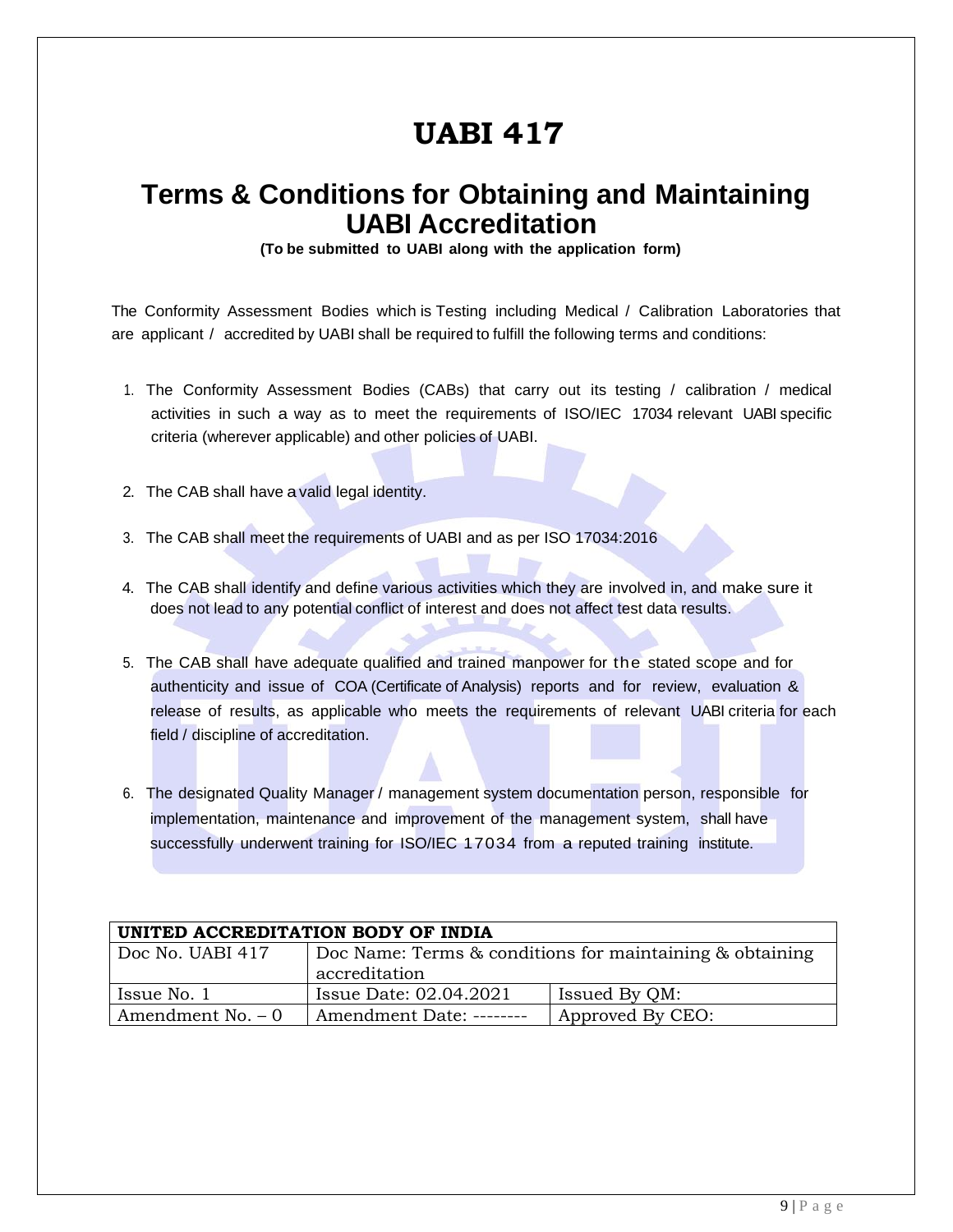# **UABI 417**

### **Terms & Conditions for Obtaining and Maintaining UABI Accreditation**

**(To be submitted to UABI along with the application form)**

The Conformity Assessment Bodies which is Testing including Medical / Calibration Laboratories that are applicant / accredited by UABI shall be required to fulfill the following terms and conditions:

- 1. The Conformity Assessment Bodies (CABs) that carry out its testing / calibration / medical activities in such a way as to meet the requirements of ISO/IEC 17034 relevant UABI specific criteria (wherever applicable) and other policies of UABI.
- 2. The CAB shall have a valid legal identity.
- 3. The CAB shall meet the requirements of UABI and as per ISO 17034:2016
- 4. The CAB shall identify and define various activities which they are involved in, and make sure it does not lead to any potential conflict of interest and does not affect test data results.
- 5. The CAB shall have adequate qualified and trained manpower for the stated scope and for authenticity and issue of COA (Certificate of Analysis) reports and for review, evaluation & release of results, as applicable who meets the requirements of relevant UABI criteria for each field / discipline of accreditation.
- 6. The designated Quality Manager / management system documentation person, responsible for implementation, maintenance and improvement of the management system, shall have successfully underwent training for ISO/IEC 17034 from a reputed training institute.

| UNITED ACCREDITATION BODY OF INDIA |                                                          |               |  |  |  |  |  |
|------------------------------------|----------------------------------------------------------|---------------|--|--|--|--|--|
| Doc No. UABI 417                   | Doc Name: Terms & conditions for maintaining & obtaining |               |  |  |  |  |  |
|                                    | accreditation                                            |               |  |  |  |  |  |
| Issue No. 1                        | Issue Date: 02.04.2021                                   | Issued By QM: |  |  |  |  |  |
| Amendment No. $-0$                 | Approved By CEO:<br>Amendment Date: --------             |               |  |  |  |  |  |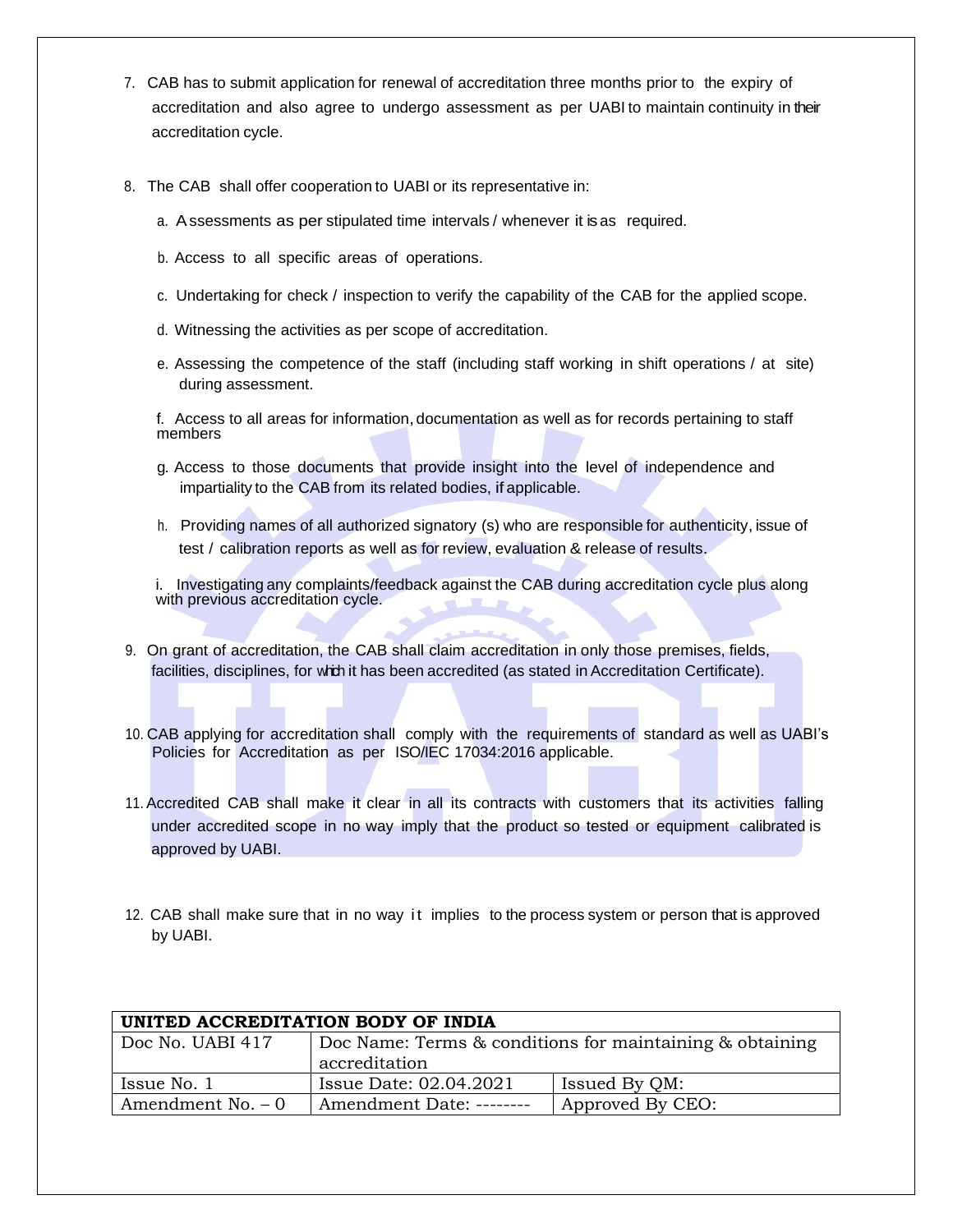- 7. CAB has to submit application for renewal of accreditation three months prior to the expiry of accreditation and also agree to undergo assessment as per UABI to maintain continuity in their accreditation cycle.
- 8. The CAB shall offer cooperation to UABI or its representative in:
	- a. Assessments as per stipulated time intervals / whenever it is as required.
	- b. Access to all specific areas of operations.
	- c. Undertaking for check / inspection to verify the capability of the CAB for the applied scope.
	- d. Witnessing the activities as per scope of accreditation.
	- e. Assessing the competence of the staff (including staff working in shift operations / at site) during assessment.

f. Access to all areas for information, documentation as well as for records pertaining to staff members

- g. Access to those documents that provide insight into the level of independence and impartiality to the CAB from its related bodies, if applicable.
- h. Providing names of all authorized signatory (s) who are responsible for authenticity, issue of test / calibration reports as well as for review, evaluation & release of results.

i. Investigating any complaints/feedback against the CAB during accreditation cycle plus along with previous accreditation cycle.

- 9. On grant of accreditation, the CAB shall claim accreditation in only those premises, fields, facilities, disciplines, for which it has been accredited (as stated in Accreditation Certificate).
- 10. CAB applying for accreditation shall comply with the requirements of standard as well as UABI's Policies for Accreditation as per ISO/IEC 17034:2016 applicable.
- 11.Accredited CAB shall make it clear in all its contracts with customers that its activities falling under accredited scope in no way imply that the product so tested or equipment calibrated is approved by UABI.
- 12. CAB shall make sure that in no way it implies to the process system or person that is approved by UABI.

| UNITED ACCREDITATION BODY OF INDIA |                                                          |                  |  |  |  |  |  |  |
|------------------------------------|----------------------------------------------------------|------------------|--|--|--|--|--|--|
| Doc No. UABI 417                   | Doc Name: Terms & conditions for maintaining & obtaining |                  |  |  |  |  |  |  |
|                                    | accreditation                                            |                  |  |  |  |  |  |  |
| Issue No. 1                        | Issue Date: 02.04.2021                                   | Issued By QM:    |  |  |  |  |  |  |
| Amendment No. $-0$                 | Amendment Date: --------                                 | Approved By CEO: |  |  |  |  |  |  |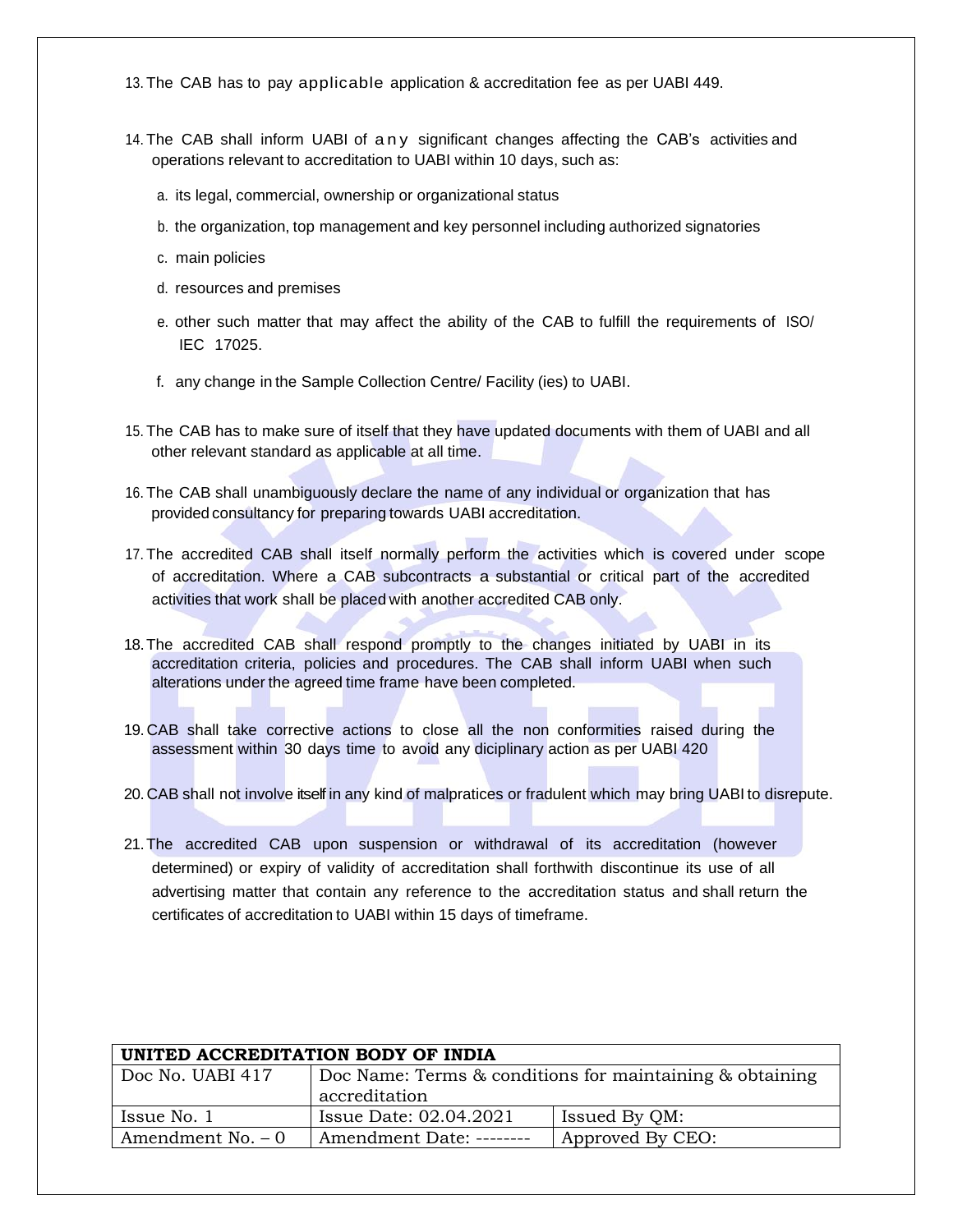13. The CAB has to pay applicable application & accreditation fee as per UABI 449.

- 14. The CAB shall inform UABI of any significant changes affecting the CAB's activities and operations relevant to accreditation to UABI within 10 days, such as:
	- a. its legal, commercial, ownership or organizational status
	- b. the organization, top management and key personnel including authorized signatories
	- c. main policies
	- d. resources and premises
	- e. other such matter that may affect the ability of the CAB to fulfill the requirements of ISO/ IEC 17025.
	- f. any change in the Sample Collection Centre/ Facility (ies) to UABI.
- 15. The CAB has to make sure of itself that they have updated documents with them of UABI and all other relevant standard as applicable at all time.
- 16. The CAB shall unambiguously declare the name of any individual or organization that has provided consultancy for preparing towards UABI accreditation.
- 17. The accredited CAB shall itself normally perform the activities which is covered under scope of accreditation. Where a CAB subcontracts a substantial or critical part of the accredited activities that work shall be placed with another accredited CAB only.
- 18.The accredited CAB shall respond promptly to the changes initiated by UABI in its accreditation criteria, policies and procedures. The CAB shall inform UABI when such alterations under the agreed time frame have been completed.
- 19. CAB shall take corrective actions to close all the non conformities raised during the assessment within 30 days time to avoid any diciplinary action as per UABI 420
- 20. CAB shall not involve itself in any kind of malpratices or fradulent which may bring UABI to disrepute.
- 21.The accredited CAB upon suspension or withdrawal of its accreditation (however determined) or expiry of validity of accreditation shall forthwith discontinue its use of all advertising matter that contain any reference to the accreditation status and shall return the certificates of accreditation to UABI within 15 days of timeframe.

| UNITED ACCREDITATION BODY OF INDIA |                                                                |                  |  |
|------------------------------------|----------------------------------------------------------------|------------------|--|
| Doc No. UABI 417                   | Doc Name: Terms $\&$ conditions for maintaining $\&$ obtaining |                  |  |
|                                    | accreditation                                                  |                  |  |
| Issue No. 1                        | Issue Date: 02.04.2021                                         | Issued By QM:    |  |
| Amendment No. $-0$                 | Amendment Date: --------                                       | Approved By CEO: |  |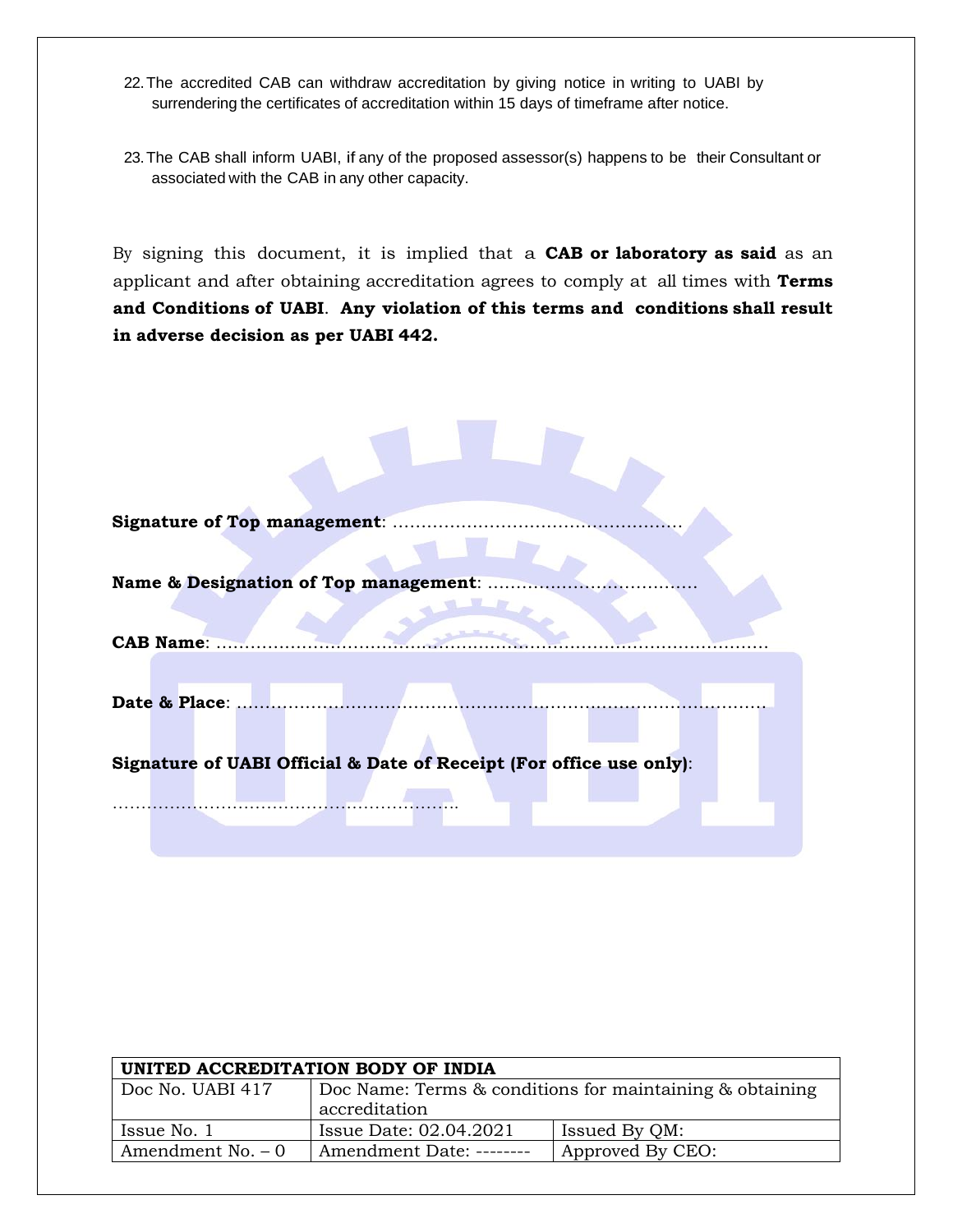- 22.The accredited CAB can withdraw accreditation by giving notice in writing to UABI by surrendering the certificates of accreditation within 15 days of timeframe after notice.
- 23.The CAB shall inform UABI, if any of the proposed assessor(s) happens to be their Consultant or associated with the CAB in any other capacity.

By signing this document, it is implied that a **CAB or laboratory as said** as an applicant and after obtaining accreditation agrees to comply at all times with **Terms and Conditions of UABI**. **Any violation of this terms and conditions shall result in adverse decision as per UABI 442.**

| <b>Signature of Top management:</b>                                 |  |  |  |
|---------------------------------------------------------------------|--|--|--|
|                                                                     |  |  |  |
| Name & Designation of Top management:                               |  |  |  |
|                                                                     |  |  |  |
| <b>CAB Name:</b>                                                    |  |  |  |
| Date & Place:                                                       |  |  |  |
|                                                                     |  |  |  |
| Signature of UABI Official & Date of Receipt (For office use only): |  |  |  |
|                                                                     |  |  |  |
|                                                                     |  |  |  |

×

| UNITED ACCREDITATION BODY OF INDIA |                                                                           |                  |  |
|------------------------------------|---------------------------------------------------------------------------|------------------|--|
| Doc No. UABI 417                   | Doc Name: Terms & conditions for maintaining & obtaining<br>accreditation |                  |  |
| Issue No. 1                        | Issue Date: 02.04.2021                                                    | Issued By QM:    |  |
| Amendment No. $-0$                 | Amendment Date: --------                                                  | Approved By CEO: |  |